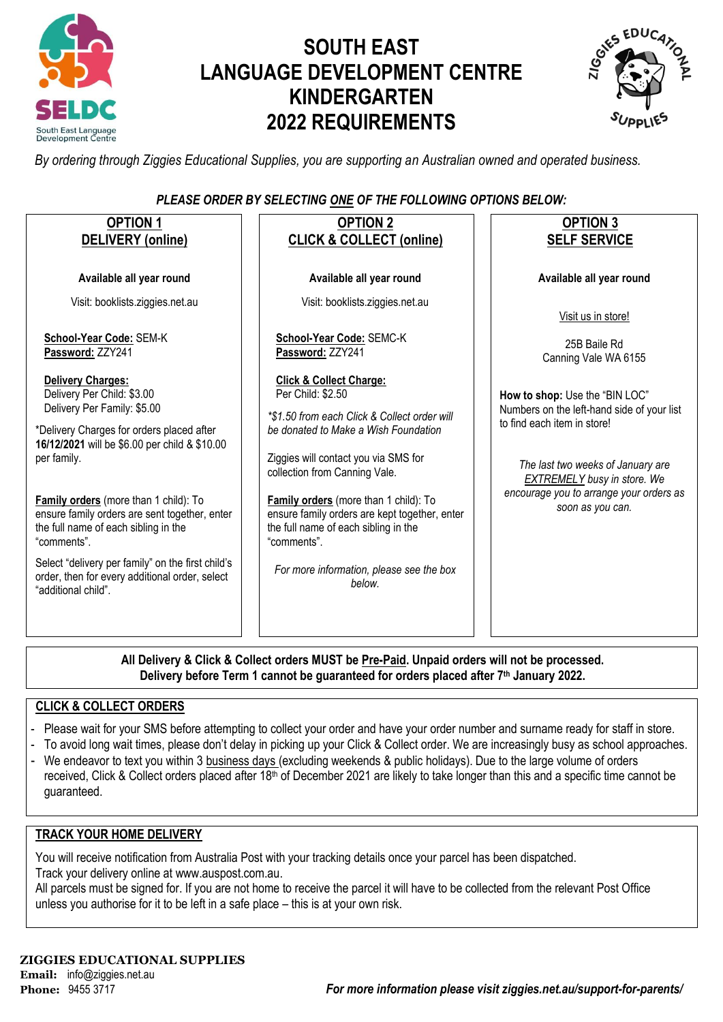

# **SOUTH EAST LANGUAGE DEVELOPMENT CENTRE KINDERGARTEN 2022 REQUIREMENTS**



*By ordering through Ziggies Educational Supplies, you are supporting an Australian owned and operated business.*

## *PLEASE ORDER BY SELECTING ONE OF THE FOLLOWING OPTIONS BELOW:*

| <b>OPTION 1</b>                                                                                                                               | <b>OPTION 2</b>                                                                                                                                                                | <b>OPTION 3</b>                                                                                   |
|-----------------------------------------------------------------------------------------------------------------------------------------------|--------------------------------------------------------------------------------------------------------------------------------------------------------------------------------|---------------------------------------------------------------------------------------------------|
| <b>DELIVERY</b> (online)                                                                                                                      | <b>CLICK &amp; COLLECT (online)</b>                                                                                                                                            | <b>SELF SERVICE</b>                                                                               |
| Available all year round                                                                                                                      | Available all year round                                                                                                                                                       | Available all year round                                                                          |
| Visit: booklists.ziggies.net.au                                                                                                               | Visit: booklists.ziggies.net.au                                                                                                                                                | Visit us in store!                                                                                |
| School-Year Code: SEM-K<br>Password: ZZY241                                                                                                   | School-Year Code: SEMC-K<br>Password: ZZY241                                                                                                                                   | 25B Baile Rd<br>Canning Vale WA 6155                                                              |
| <b>Delivery Charges:</b><br>Delivery Per Child: \$3.00<br>Delivery Per Family: \$5.00                                                         | <b>Click &amp; Collect Charge:</b><br>Per Child: \$2.50<br>*\$1.50 from each Click & Collect order will                                                                        | How to shop: Use the "BIN LOC"<br>Numbers on the left-hand side of your list                      |
| *Delivery Charges for orders placed after<br>16/12/2021 will be \$6.00 per child & \$10.00<br>per family.                                     | be donated to Make a Wish Foundation<br>Ziggies will contact you via SMS for                                                                                                   | to find each item in store!<br>The last two weeks of January are                                  |
| Family orders (more than 1 child): To<br>ensure family orders are sent together, enter<br>the full name of each sibling in the<br>"comments". | collection from Canning Vale.<br>Family orders (more than 1 child): To<br>ensure family orders are kept together, enter<br>the full name of each sibling in the<br>"comments". | <b>EXTREMELY</b> busy in store. We<br>encourage you to arrange your orders as<br>soon as you can. |
| Select "delivery per family" on the first child's<br>order, then for every additional order, select<br>"additional child".                    | For more information, please see the box<br>helow.                                                                                                                             |                                                                                                   |
|                                                                                                                                               |                                                                                                                                                                                |                                                                                                   |
|                                                                                                                                               |                                                                                                                                                                                |                                                                                                   |

**All Delivery & Click & Collect orders MUST be Pre-Paid. Unpaid orders will not be processed. Delivery before Term 1 cannot be guaranteed for orders placed after 7th January 2022.**

## **CLICK & COLLECT ORDERS**

- Please wait for your SMS before attempting to collect your order and have your order number and surname ready for staff in store.
- To avoid long wait times, please don't delay in picking up your Click & Collect order. We are increasingly busy as school approaches.
- We endeavor to text you within 3 business days (excluding weekends & public holidays). Due to the large volume of orders received, Click & Collect orders placed after 18<sup>th</sup> of December 2021 are likely to take longer than this and a specific time cannot be guaranteed.

## **TRACK YOUR HOME DELIVERY**

You will receive notification from Australia Post with your tracking details once your parcel has been dispatched. Track your delivery online a[t www.auspost.com.au.](http://www.auspost.com.au/)

All parcels must be signed for. If you are not home to receive the parcel it will have to be collected from the relevant Post Office unless you authorise for it to be left in a safe place – this is at your own risk.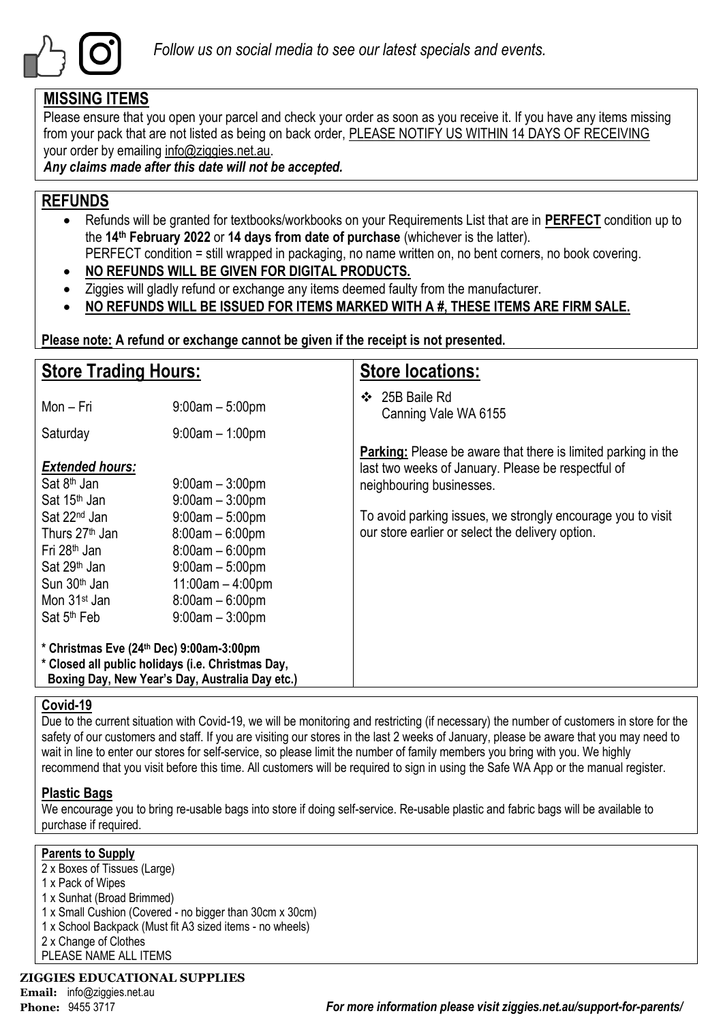

# **MISSING ITEMS**

Please ensure that you open your parcel and check your order as soon as you receive it. If you have any items missing from your pack that are not listed as being on back order, PLEASE NOTIFY US WITHIN 14 DAYS OF RECEIVING your order by emailing info@ziggies.net.au.

*Any claims made after this date will not be accepted.*

# **REFUNDS**

- Refunds will be granted for textbooks/workbooks on your Requirements List that are in **PERFECT** condition up to the **14th February 2022** or **14 days from date of purchase** (whichever is the latter). PERFECT condition = still wrapped in packaging, no name written on, no bent corners, no book covering.
- **NO REFUNDS WILL BE GIVEN FOR DIGITAL PRODUCTS.**
- Ziggies will gladly refund or exchange any items deemed faulty from the manufacturer.
- **NO REFUNDS WILL BE ISSUED FOR ITEMS MARKED WITH A #, THESE ITEMS ARE FIRM SALE.**

**Please note: A refund or exchange cannot be given if the receipt is not presented.**

| <b>Store Trading Hours:</b>                                                                                                                                                                       |                                                                                                                                                     | <b>Store locations:</b>                                                                                                                                |  |  |  |
|---------------------------------------------------------------------------------------------------------------------------------------------------------------------------------------------------|-----------------------------------------------------------------------------------------------------------------------------------------------------|--------------------------------------------------------------------------------------------------------------------------------------------------------|--|--|--|
| Mon – Fri                                                                                                                                                                                         | $9:00am - 5:00pm$                                                                                                                                   | 25B Baile Rd<br>❖<br>Canning Vale WA 6155                                                                                                              |  |  |  |
| Saturday                                                                                                                                                                                          | $9:00am - 1:00pm$                                                                                                                                   |                                                                                                                                                        |  |  |  |
| <b>Extended hours:</b><br>Sat 8 <sup>th</sup> Jan<br>Sat 15 <sup>th</sup> Jan                                                                                                                     | $9:00$ am $-3:00$ pm<br>$9:00am - 3:00pm$                                                                                                           | <b>Parking:</b> Please be aware that there is limited parking in the<br>last two weeks of January. Please be respectful of<br>neighbouring businesses. |  |  |  |
| Sat 22 <sup>nd</sup> Jan<br>Thurs 27 <sup>th</sup> Jan<br>Fri 28 <sup>th</sup> Jan<br>Sat 29 <sup>th</sup> Jan<br>Sun 30 <sup>th</sup> Jan<br>Mon 31 <sup>st</sup> Jan<br>Sat 5 <sup>th</sup> Feb | $9:00am - 5:00pm$<br>$8:00am - 6:00pm$<br>$8:00am - 6:00pm$<br>$9:00$ am $-5:00$ pm<br>$11:00am - 4:00pm$<br>$8:00am - 6:00pm$<br>$9:00am - 3:00pm$ | To avoid parking issues, we strongly encourage you to visit<br>our store earlier or select the delivery option.                                        |  |  |  |
| * Christmas Eve (24th Dec) 9:00am-3:00pm<br>* Closed all public holidays (i.e. Christmas Day,                                                                                                     | Boxing Day, New Year's Day, Australia Day etc.)                                                                                                     |                                                                                                                                                        |  |  |  |

## **Covid-19**

Due to the current situation with Covid-19, we will be monitoring and restricting (if necessary) the number of customers in store for the safety of our customers and staff. If you are visiting our stores in the last 2 weeks of January, please be aware that you may need to wait in line to enter our stores for self-service, so please limit the number of family members you bring with you. We highly recommend that you visit before this time. All customers will be required to sign in using the Safe WA App or the manual register.

# **Plastic Bags**

We encourage you to bring re-usable bags into store if doing self-service. Re-usable plastic and fabric bags will be available to purchase if required.

## **Parents to Supply**

2 x Boxes of Tissues (Large) 1 x Pack of Wipes 1 x Sunhat (Broad Brimmed) 1 x Small Cushion (Covered - no bigger than 30cm x 30cm) 1 x School Backpack (Must fit A3 sized items - no wheels) 2 x Change of Clothes PLEASE NAME ALL ITEMS

# **ZIGGIES EDUCATIONAL SUPPLIES**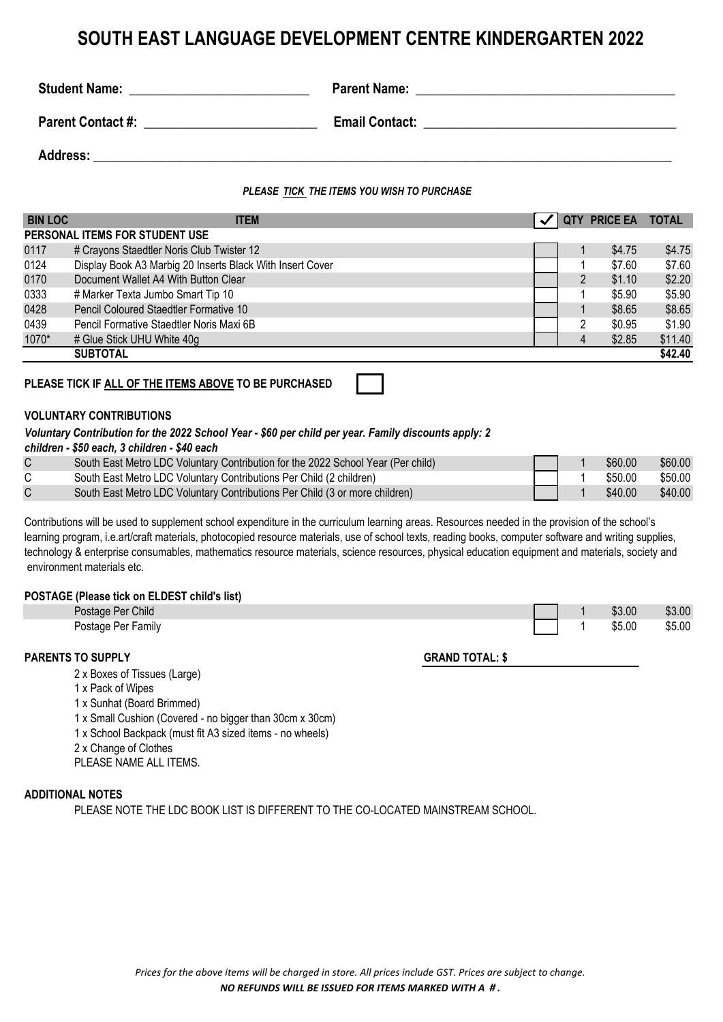# **SOUTH EAST LANGUAGE DEVELOPMENT CENTRE KINDERGARTEN 2022**

| <b>Student Name:</b>     | <b>Parent Name:</b>   |
|--------------------------|-----------------------|
| <b>Parent Contact #:</b> | <b>Email Contact:</b> |
| <b>Address:</b>          |                       |

### *PLEASE TICK THE ITEMS YOU WISH TO PURCHASE*

| <b>ITEM</b>                          |                                                                                                                                                                                                                                                                                 |   | PRICE EA TOTAL |         |
|--------------------------------------|---------------------------------------------------------------------------------------------------------------------------------------------------------------------------------------------------------------------------------------------------------------------------------|---|----------------|---------|
|                                      |                                                                                                                                                                                                                                                                                 |   |                |         |
|                                      |                                                                                                                                                                                                                                                                                 |   | \$4.75         | \$4.75  |
|                                      |                                                                                                                                                                                                                                                                                 |   | \$7.60         | \$7.60  |
| Document Wallet A4 With Button Clear |                                                                                                                                                                                                                                                                                 |   | \$1.10         | \$2.20  |
| # Marker Texta Jumbo Smart Tip 10    |                                                                                                                                                                                                                                                                                 |   | \$5.90         | \$5.90  |
|                                      |                                                                                                                                                                                                                                                                                 |   | \$8.65         | \$8.65  |
|                                      |                                                                                                                                                                                                                                                                                 | 2 | \$0.95         | \$1.90  |
|                                      |                                                                                                                                                                                                                                                                                 | 4 | \$2.85         | \$11.40 |
|                                      |                                                                                                                                                                                                                                                                                 |   |                | \$42.40 |
|                                      | PERSONAL ITEMS FOR STUDENT USE<br># Crayons Staedtler Noris Club Twister 12<br>Display Book A3 Marbig 20 Inserts Black With Insert Cover<br>Pencil Coloured Staedtler Formative 10<br>Pencil Formative Staedtler Noris Maxi 6B<br># Glue Stick UHU White 40g<br><b>SUBTOTAL</b> |   | $\overline{2}$ |         |

### **PLEASE TICK IF ALL OF THE ITEMS ABOVE TO BE PURCHASED**

#### **VOLUNTARY CONTRIBUTIONS**

#### *Voluntary Contribution for the 2022 School Year - \$60 per child per year. Family discounts apply: 2*

| South East Metro LDC Voluntary Contribution for the 2022 School Year (Per child) |  | \$60.00 | \$60.00 |
|----------------------------------------------------------------------------------|--|---------|---------|
| South East Metro LDC Voluntary Contributions Per Child (2 children)              |  | \$50.00 | \$50.00 |
| South East Metro LDC Voluntary Contributions Per Child (3 or more children)      |  | \$40.00 | \$40.00 |

Contributions will be used to supplement school expenditure in the curriculum learning areas. Resources needed in the provision of the school's learning program, i.e.art/craft materials, photocopied resource materials, use of school texts, reading books, computer software and writing supplies, technology & enterprise consumables, mathematics resource materials, science resources, physical education equipment and materials, society and environment materials etc.

### **POSTAGE (Please tick on ELDEST child's list)**

| $0.00$ $\mu$ $\alpha$ $\alpha$ $\alpha$ $\alpha$ $\beta$ $\alpha$ $\alpha$ $\beta$ |                        |        |        |
|------------------------------------------------------------------------------------|------------------------|--------|--------|
|                                                                                    |                        |        |        |
| <b>PARENTS TO SUPPLY</b>                                                           | <b>GRAND TOTAL: \$</b> |        |        |
|                                                                                    |                        |        |        |
|                                                                                    |                        |        |        |
| Postage Per Family                                                                 |                        |        |        |
|                                                                                    |                        | \$5.00 | \$5.00 |
| Postage Per Child                                                                  |                        | \$3.00 | \$3.00 |
|                                                                                    |                        |        |        |

2 x Boxes of Tissues (Large) 1 x Pack of Wipes

1 x Sunhat (Board Brimmed)

1 x Small Cushion (Covered - no bigger than 30cm x 30cm)

1 x School Backpack (must fit A3 sized items - no wheels)

2 x Change of Clothes

PLEASE NAME ALL ITEMS.

### **ADDITIONAL NOTES**

PLEASE NOTE THE LDC BOOK LIST IS DIFFERENT TO THE CO-LOCATED MAINSTREAM SCHOOL.